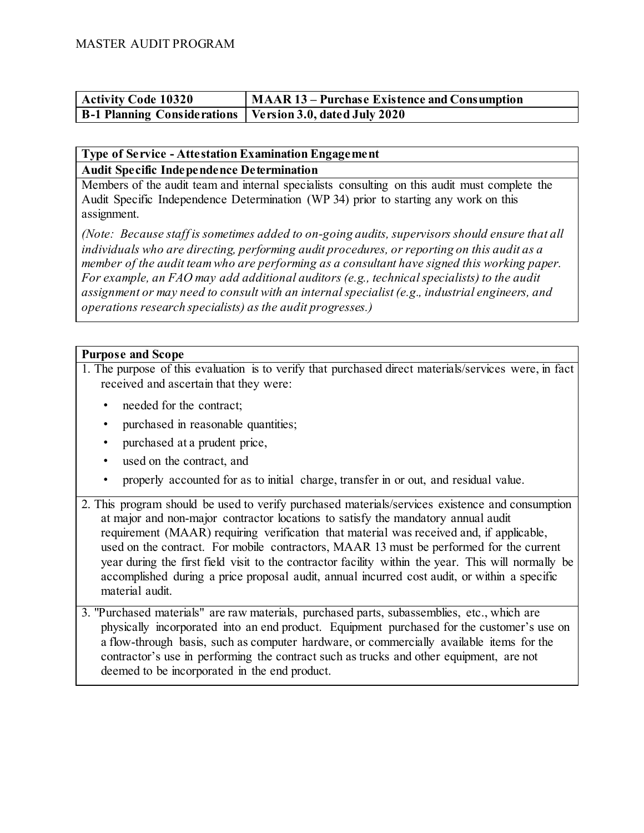| <b>Activity Code 10320</b>                                 | MAAR 13 – Purchase Existence and Consumption |
|------------------------------------------------------------|----------------------------------------------|
| B-1 Planning Considerations   Version 3.0, dated July 2020 |                                              |

## **Type of Service - Attestation Examination Engagement Audit Specific Independence Determination**

Members of the audit team and internal specialists consulting on this audit must complete the Audit Specific Independence Determination (WP 34) prior to starting any work on this assignment.

*(Note: Because staff is sometimes added to on-going audits, supervisors should ensure that all individuals who are directing, performing audit procedures, or reporting on this audit as a member of the audit team who are performing as a consultant have signed this working paper. For example, an FAO may add additional auditors (e.g., technical specialists) to the audit assignment or may need to consult with an internal specialist (e.g., industrial engineers, and operations research specialists) as the audit progresses.)*

# **Purpose and Scope**

1. The purpose of this evaluation is to verify that purchased direct materials/services were, in fact received and ascertain that they were:

- needed for the contract;
- purchased in reasonable quantities;
- purchased at a prudent price,
- used on the contract, and
- properly accounted for as to initial charge, transfer in or out, and residual value.
- 2. This program should be used to verify purchased materials/services existence and consumption at major and non-major contractor locations to satisfy the mandatory annual audit requirement (MAAR) requiring verification that material was received and, if applicable, used on the contract. For mobile contractors, MAAR 13 must be performed for the current year during the first field visit to the contractor facility within the year. This will normally be accomplished during a price proposal audit, annual incurred cost audit, or within a specific material audit.
- 3. "Purchased materials" are raw materials, purchased parts, subassemblies, etc., which are physically incorporated into an end product. Equipment purchased for the customer's use on a flow-through basis, such as computer hardware, or commercially available items for the contractor's use in performing the contract such as trucks and other equipment, are not deemed to be incorporated in the end product.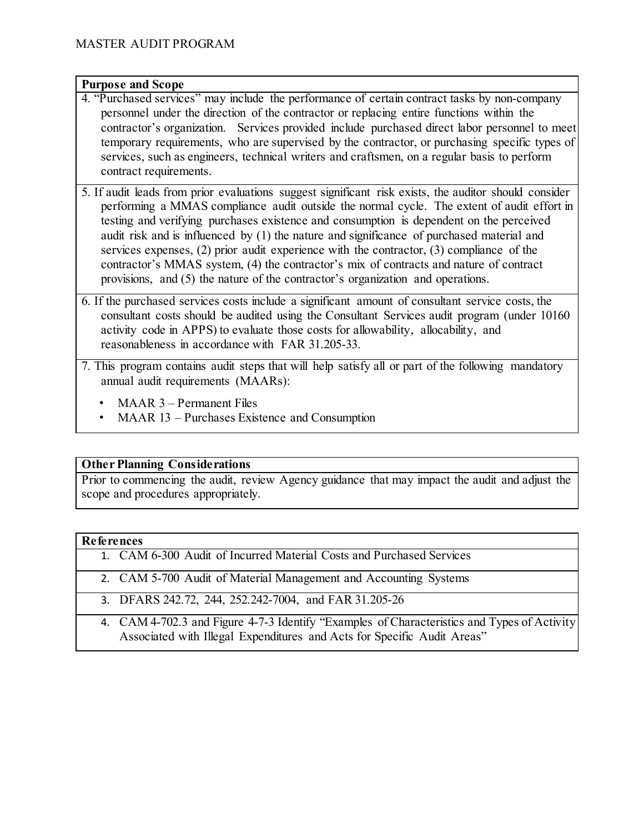### **Purpose and Scope**

- 4. "Purchased services" may include the performance of certain contract tasks by non-company personnel under the direction of the contractor or replacing entire functions within the contractor's organization. Services provided include purchased direct labor personnel to meet temporary requirements, who are supervised by the contractor, or purchasing specific types of services, such as engineers, technical writers and craftsmen, on a regular basis to perform contract requirements.
- 5. If audit leads from prior evaluations suggest significant risk exists, the auditor should consider performing a MMAS compliance audit outside the normal cycle. The extent of audit effort in testing and verifying purchases existence and consumption is dependent on the perceived audit risk and is influenced by (1) the nature and significance of purchased material and services expenses, (2) prior audit experience with the contractor, (3) compliance of the contractor's MMAS system, (4) the contractor's mix of contracts and nature of contract provisions, and (5) the nature of the contractor's organization and operations.
- 6. If the purchased services costs include a significant amount of consultant service costs, the consultant costs should be audited using the Consultant Services audit program (under 10160 activity code in APPS) to evaluate those costs for allowability, allocability, and reasonableness in accordance with FAR 31.205-33.
- 7. This program contains audit steps that will help satisfy all or part of the following mandatory annual audit requirements (MAARs):
	- MAAR 3 Permanent Files
	- MAAR 13 Purchases Existence and Consumption

### **Other Planning Considerations**

Prior to commencing the audit, review Agency guidance that may impact the audit and adjust the scope and procedures appropriately.

#### **References**

- 1. CAM 6-300 Audit of Incurred Material Costs and Purchased Services
- 2. CAM 5-700 Audit of Material Management and Accounting Systems
- 3. DFARS 242.72, 244, 252.242-7004, and FAR 31.205-26
- 4. CAM 4-702.3 and Figure 4-7-3 Identify "Examples of Characteristics and Types of Activity Associated with Illegal Expenditures and Acts for Specific Audit Areas"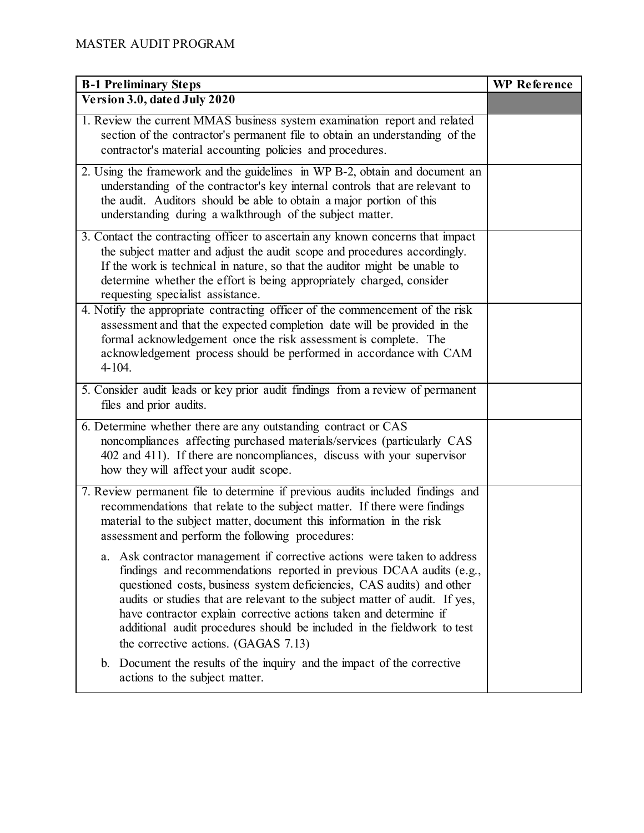| <b>B-1 Preliminary Steps</b>                                                                                                                                                                                                                                                                                                                                                                                                                                                                        | <b>WP</b> Reference |
|-----------------------------------------------------------------------------------------------------------------------------------------------------------------------------------------------------------------------------------------------------------------------------------------------------------------------------------------------------------------------------------------------------------------------------------------------------------------------------------------------------|---------------------|
| Version 3.0, dated July 2020                                                                                                                                                                                                                                                                                                                                                                                                                                                                        |                     |
| 1. Review the current MMAS business system examination report and related<br>section of the contractor's permanent file to obtain an understanding of the<br>contractor's material accounting policies and procedures.                                                                                                                                                                                                                                                                              |                     |
| 2. Using the framework and the guidelines in WP B-2, obtain and document an<br>understanding of the contractor's key internal controls that are relevant to<br>the audit. Auditors should be able to obtain a major portion of this<br>understanding during a walkthrough of the subject matter.                                                                                                                                                                                                    |                     |
| 3. Contact the contracting officer to ascertain any known concerns that impact<br>the subject matter and adjust the audit scope and procedures accordingly.<br>If the work is technical in nature, so that the auditor might be unable to<br>determine whether the effort is being appropriately charged, consider<br>requesting specialist assistance.                                                                                                                                             |                     |
| 4. Notify the appropriate contracting officer of the commencement of the risk<br>assessment and that the expected completion date will be provided in the<br>formal acknowledgement once the risk assessment is complete. The<br>acknowledgement process should be performed in accordance with CAM<br>$4 - 104.$                                                                                                                                                                                   |                     |
| 5. Consider audit leads or key prior audit findings from a review of permanent<br>files and prior audits.                                                                                                                                                                                                                                                                                                                                                                                           |                     |
| 6. Determine whether there are any outstanding contract or CAS<br>noncompliances affecting purchased materials/services (particularly CAS<br>402 and 411). If there are noncompliances, discuss with your supervisor<br>how they will affect your audit scope.                                                                                                                                                                                                                                      |                     |
| 7. Review permanent file to determine if previous audits included findings and<br>recommendations that relate to the subject matter. If there were findings<br>material to the subject matter, document this information in the risk<br>assessment and perform the following procedures:                                                                                                                                                                                                            |                     |
| Ask contractor management if corrective actions were taken to address<br>а.<br>findings and recommendations reported in previous DCAA audits (e.g.,<br>questioned costs, business system deficiencies, CAS audits) and other<br>audits or studies that are relevant to the subject matter of audit. If yes,<br>have contractor explain corrective actions taken and determine if<br>additional audit procedures should be included in the fieldwork to test<br>the corrective actions. (GAGAS 7.13) |                     |
| Document the results of the inquiry and the impact of the corrective<br>b.<br>actions to the subject matter.                                                                                                                                                                                                                                                                                                                                                                                        |                     |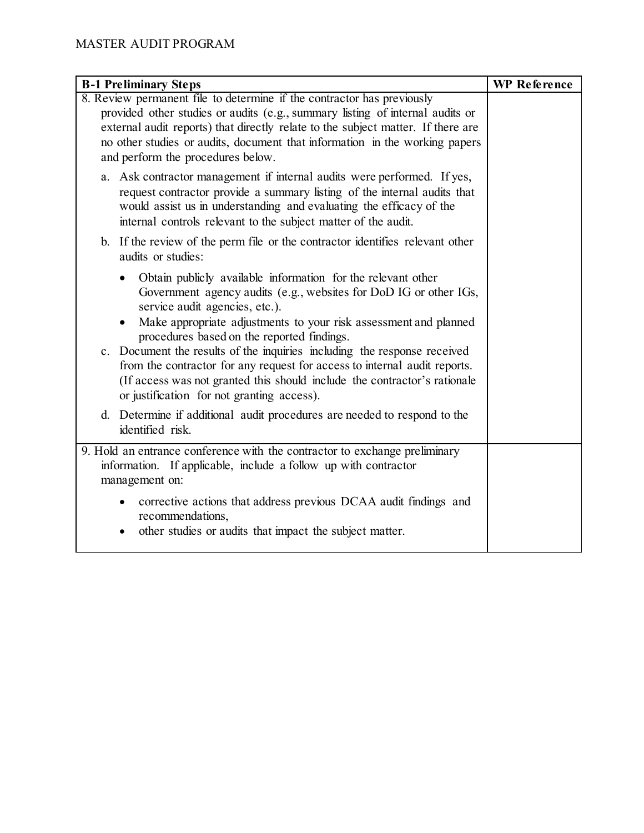| <b>B-1 Preliminary Steps</b>                                                                                                                                                                                                                                                                                                                                                                                                                                                                                                | <b>WP</b> Reference |
|-----------------------------------------------------------------------------------------------------------------------------------------------------------------------------------------------------------------------------------------------------------------------------------------------------------------------------------------------------------------------------------------------------------------------------------------------------------------------------------------------------------------------------|---------------------|
| 8. Review permanent file to determine if the contractor has previously<br>provided other studies or audits (e.g., summary listing of internal audits or<br>external audit reports) that directly relate to the subject matter. If there are<br>no other studies or audits, document that information in the working papers<br>and perform the procedures below.                                                                                                                                                             |                     |
| a. Ask contractor management if internal audits were performed. If yes,<br>request contractor provide a summary listing of the internal audits that<br>would assist us in understanding and evaluating the efficacy of the<br>internal controls relevant to the subject matter of the audit.                                                                                                                                                                                                                                |                     |
| b. If the review of the perm file or the contractor identifies relevant other<br>audits or studies:                                                                                                                                                                                                                                                                                                                                                                                                                         |                     |
| Obtain publicly available information for the relevant other<br>Government agency audits (e.g., websites for DoD IG or other IGs,<br>service audit agencies, etc.).<br>Make appropriate adjustments to your risk assessment and planned<br>procedures based on the reported findings.<br>c. Document the results of the inquiries including the response received<br>from the contractor for any request for access to internal audit reports.<br>(If access was not granted this should include the contractor's rationale |                     |
| or justification for not granting access).<br>d. Determine if additional audit procedures are needed to respond to the<br>identified risk.                                                                                                                                                                                                                                                                                                                                                                                  |                     |
| 9. Hold an entrance conference with the contractor to exchange preliminary<br>information. If applicable, include a follow up with contractor<br>management on:                                                                                                                                                                                                                                                                                                                                                             |                     |
| corrective actions that address previous DCAA audit findings and<br>recommendations,<br>other studies or audits that impact the subject matter.                                                                                                                                                                                                                                                                                                                                                                             |                     |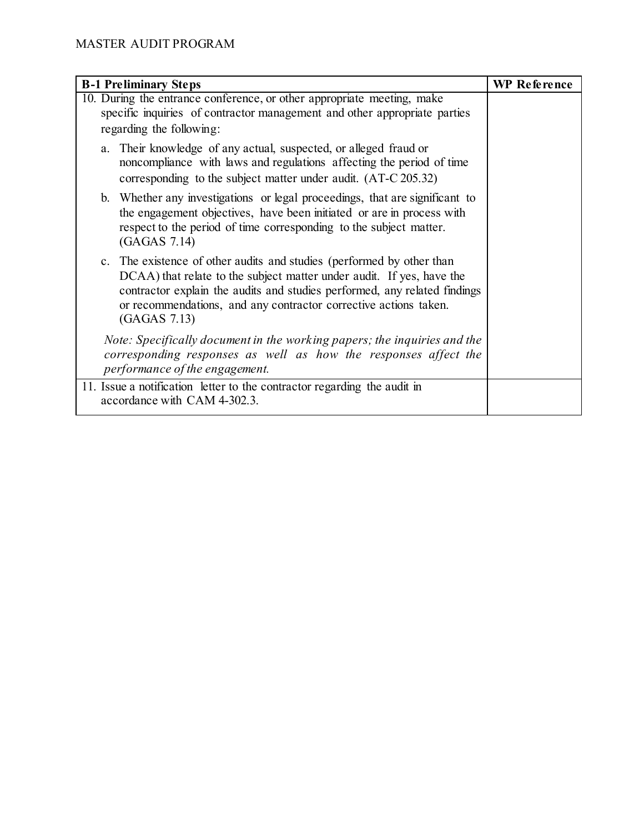| <b>B-1 Preliminary Steps</b>                                                                                                                                                                                                                                                                                    | <b>WP Reference</b> |
|-----------------------------------------------------------------------------------------------------------------------------------------------------------------------------------------------------------------------------------------------------------------------------------------------------------------|---------------------|
| 10. During the entrance conference, or other appropriate meeting, make<br>specific inquiries of contractor management and other appropriate parties<br>regarding the following:                                                                                                                                 |                     |
| a. Their knowledge of any actual, suspected, or alleged fraud or<br>noncompliance with laws and regulations affecting the period of time<br>corresponding to the subject matter under audit. (AT-C 205.32)                                                                                                      |                     |
| b. Whether any investigations or legal proceedings, that are significant to<br>the engagement objectives, have been initiated or are in process with<br>respect to the period of time corresponding to the subject matter.<br>(GAGAS 7.14)                                                                      |                     |
| c. The existence of other audits and studies (performed by other than<br>DCAA) that relate to the subject matter under audit. If yes, have the<br>contractor explain the audits and studies performed, any related findings<br>or recommendations, and any contractor corrective actions taken.<br>(GAGAS 7.13) |                     |
| Note: Specifically document in the working papers; the inquiries and the<br>corresponding responses as well as how the responses affect the<br>performance of the engagement.                                                                                                                                   |                     |
| 11. Issue a notification letter to the contractor regarding the audit in<br>accordance with CAM 4-302.3.                                                                                                                                                                                                        |                     |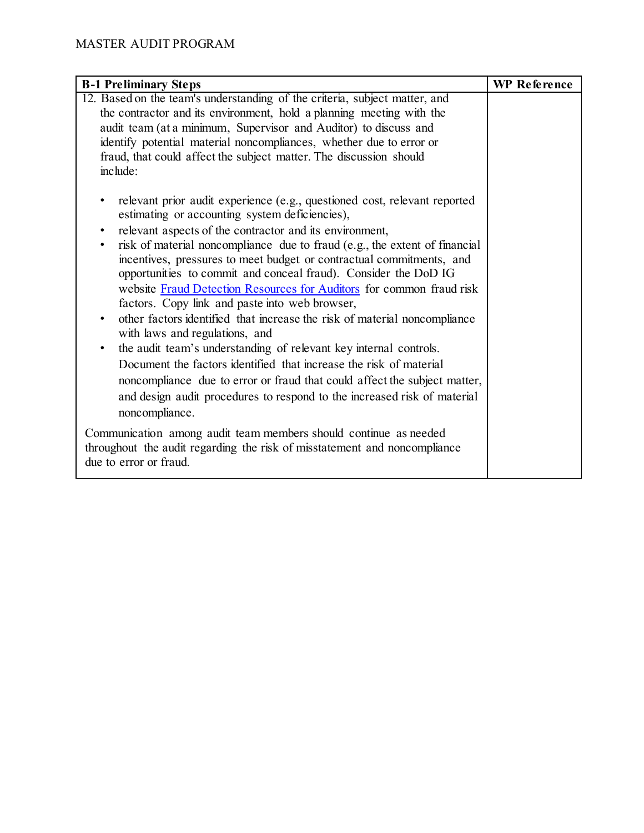| <b>B-1 Preliminary Steps</b>                                                                                                                                                                                                                                                                                                                                                                                                                                                                                                                                                                                                                                                                                                                                                                                                                                                                                                                                                                                          | <b>WP</b> Reference |
|-----------------------------------------------------------------------------------------------------------------------------------------------------------------------------------------------------------------------------------------------------------------------------------------------------------------------------------------------------------------------------------------------------------------------------------------------------------------------------------------------------------------------------------------------------------------------------------------------------------------------------------------------------------------------------------------------------------------------------------------------------------------------------------------------------------------------------------------------------------------------------------------------------------------------------------------------------------------------------------------------------------------------|---------------------|
| 12. Based on the team's understanding of the criteria, subject matter, and<br>the contractor and its environment, hold a planning meeting with the<br>audit team (at a minimum, Supervisor and Auditor) to discuss and<br>identify potential material noncompliances, whether due to error or<br>fraud, that could affect the subject matter. The discussion should<br>include:                                                                                                                                                                                                                                                                                                                                                                                                                                                                                                                                                                                                                                       |                     |
| relevant prior audit experience (e.g., questioned cost, relevant reported<br>estimating or accounting system deficiencies),<br>relevant aspects of the contractor and its environment,<br>$\bullet$<br>risk of material noncompliance due to fraud (e.g., the extent of financial<br>$\bullet$<br>incentives, pressures to meet budget or contractual commitments, and<br>opportunities to commit and conceal fraud). Consider the DoD IG<br>website Fraud Detection Resources for Auditors for common fraud risk<br>factors. Copy link and paste into web browser,<br>other factors identified that increase the risk of material noncompliance<br>with laws and regulations, and<br>the audit team's understanding of relevant key internal controls.<br>$\bullet$<br>Document the factors identified that increase the risk of material<br>noncompliance due to error or fraud that could affect the subject matter,<br>and design audit procedures to respond to the increased risk of material<br>noncompliance. |                     |
| Communication among audit team members should continue as needed<br>throughout the audit regarding the risk of misstatement and noncompliance<br>due to error or fraud.                                                                                                                                                                                                                                                                                                                                                                                                                                                                                                                                                                                                                                                                                                                                                                                                                                               |                     |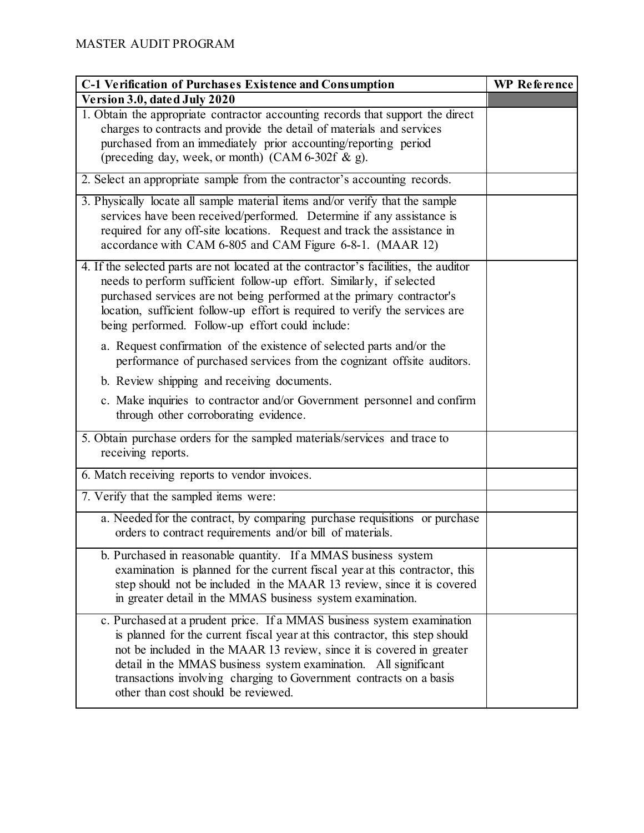| <b>C-1 Verification of Purchases Existence and Consumption</b>                                                                                                                                                                                                                                                                                                                                                 | <b>WP</b> Reference |
|----------------------------------------------------------------------------------------------------------------------------------------------------------------------------------------------------------------------------------------------------------------------------------------------------------------------------------------------------------------------------------------------------------------|---------------------|
| Version 3.0, dated July 2020                                                                                                                                                                                                                                                                                                                                                                                   |                     |
| 1. Obtain the appropriate contractor accounting records that support the direct<br>charges to contracts and provide the detail of materials and services<br>purchased from an immediately prior accounting/reporting period<br>(preceding day, week, or month) (CAM 6-302f & g).                                                                                                                               |                     |
| 2. Select an appropriate sample from the contractor's accounting records.                                                                                                                                                                                                                                                                                                                                      |                     |
| 3. Physically locate all sample material items and/or verify that the sample<br>services have been received/performed. Determine if any assistance is<br>required for any off-site locations. Request and track the assistance in<br>accordance with CAM 6-805 and CAM Figure 6-8-1. (MAAR 12)                                                                                                                 |                     |
| 4. If the selected parts are not located at the contractor's facilities, the auditor<br>needs to perform sufficient follow-up effort. Similarly, if selected<br>purchased services are not being performed at the primary contractor's<br>location, sufficient follow-up effort is required to verify the services are<br>being performed. Follow-up effort could include:                                     |                     |
| a. Request confirmation of the existence of selected parts and/or the<br>performance of purchased services from the cognizant offsite auditors.                                                                                                                                                                                                                                                                |                     |
| b. Review shipping and receiving documents.                                                                                                                                                                                                                                                                                                                                                                    |                     |
| c. Make inquiries to contractor and/or Government personnel and confirm<br>through other corroborating evidence.                                                                                                                                                                                                                                                                                               |                     |
| 5. Obtain purchase orders for the sampled materials/services and trace to<br>receiving reports.                                                                                                                                                                                                                                                                                                                |                     |
| 6. Match receiving reports to vendor invoices.                                                                                                                                                                                                                                                                                                                                                                 |                     |
| 7. Verify that the sampled items were:                                                                                                                                                                                                                                                                                                                                                                         |                     |
| a. Needed for the contract, by comparing purchase requisitions or purchase<br>orders to contract requirements and/or bill of materials.                                                                                                                                                                                                                                                                        |                     |
| b. Purchased in reasonable quantity. If a MMAS business system<br>examination is planned for the current fiscal year at this contractor, this<br>step should not be included in the MAAR 13 review, since it is covered<br>in greater detail in the MMAS business system examination.                                                                                                                          |                     |
| c. Purchased at a prudent price. If a MMAS business system examination<br>is planned for the current fiscal year at this contractor, this step should<br>not be included in the MAAR 13 review, since it is covered in greater<br>detail in the MMAS business system examination. All significant<br>transactions involving charging to Government contracts on a basis<br>other than cost should be reviewed. |                     |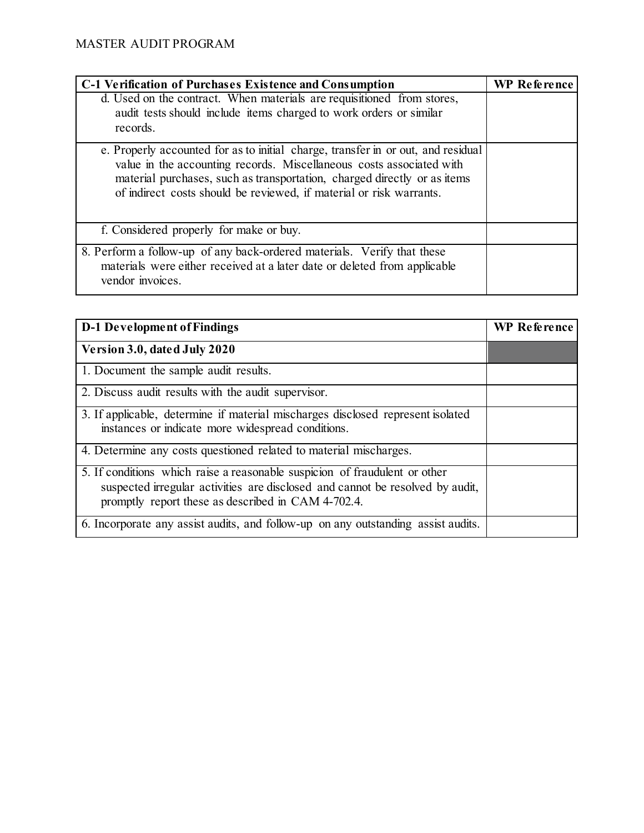| <b>C-1 Verification of Purchases Existence and Consumption</b>                                                                                                                                                                                                                                              | <b>WP</b> Reference |
|-------------------------------------------------------------------------------------------------------------------------------------------------------------------------------------------------------------------------------------------------------------------------------------------------------------|---------------------|
| d. Used on the contract. When materials are requisitioned from stores,<br>audit tests should include items charged to work orders or similar<br>records.                                                                                                                                                    |                     |
| e. Properly accounted for as to initial charge, transfer in or out, and residual<br>value in the accounting records. Miscellaneous costs associated with<br>material purchases, such as transportation, charged directly or as items<br>of indirect costs should be reviewed, if material or risk warrants. |                     |
| f. Considered properly for make or buy.                                                                                                                                                                                                                                                                     |                     |
| 8. Perform a follow-up of any back-ordered materials. Verify that these<br>materials were either received at a later date or deleted from applicable<br>vendor invoices.                                                                                                                                    |                     |

| <b>D-1 Development of Findings</b>                                                                                                                                                                                | <b>WP</b> Reference |
|-------------------------------------------------------------------------------------------------------------------------------------------------------------------------------------------------------------------|---------------------|
| Version 3.0, dated July 2020                                                                                                                                                                                      |                     |
| 1. Document the sample audit results.                                                                                                                                                                             |                     |
| 2. Discuss audit results with the audit supervisor.                                                                                                                                                               |                     |
| 3. If applicable, determine if material mischarges disclosed represent isolated<br>instances or indicate more widespread conditions.                                                                              |                     |
| 4. Determine any costs questioned related to material mischarges.                                                                                                                                                 |                     |
| 5. If conditions which raise a reasonable suspicion of fraudulent or other<br>suspected irregular activities are disclosed and cannot be resolved by audit,<br>promptly report these as described in CAM 4-702.4. |                     |
| 6. Incorporate any assist audits, and follow-up on any outstanding assist audits.                                                                                                                                 |                     |